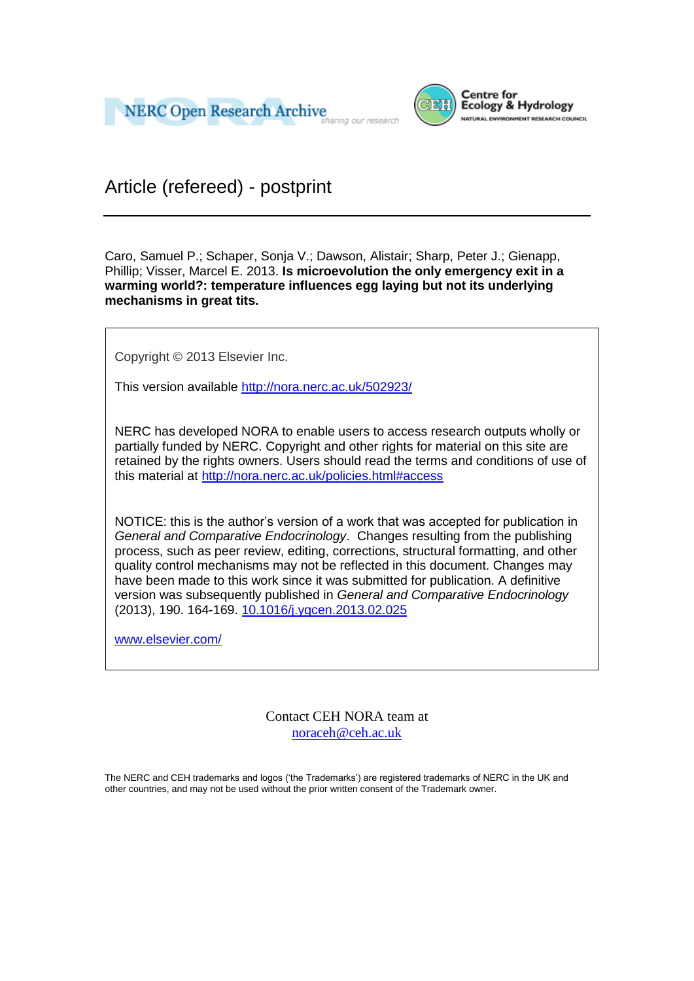



Article (refereed) - postprint

Caro, Samuel P.; Schaper, Sonja V.; Dawson, Alistair; Sharp, Peter J.; Gienapp, Phillip; Visser, Marcel E. 2013. **Is microevolution the only emergency exit in a warming world?: temperature influences egg laying but not its underlying mechanisms in great tits.**

Copyright © 2013 Elsevier Inc.

This version available<http://nora.nerc.ac.uk/502923/>

NERC has developed NORA to enable users to access research outputs wholly or partially funded by NERC. Copyright and other rights for material on this site are retained by the rights owners. Users should read the terms and conditions of use of this material at<http://nora.nerc.ac.uk/policies.html#access>

NOTICE: this is the author's version of a work that was accepted for publication in *General and Comparative Endocrinology*. Changes resulting from the publishing process, such as peer review, editing, corrections, structural formatting, and other quality control mechanisms may not be reflected in this document. Changes may have been made to this work since it was submitted for publication. A definitive version was subsequently published in *General and Comparative Endocrinology* (2013), 190. 164-169. [10.1016/j.ygcen.2013.02.025](http://dx.doi.org/10.1016/j.ygcen.2013.02.025)

[www.elsevier.com/](http://www.elsevier.com/)

Contact CEH NORA team at [noraceh@ceh.ac.uk](mailto:nora@ceh.ac.uk)

The NERC and CEH trademarks and logos ('the Trademarks') are registered trademarks of NERC in the UK and other countries, and may not be used without the prior written consent of the Trademark owner*.*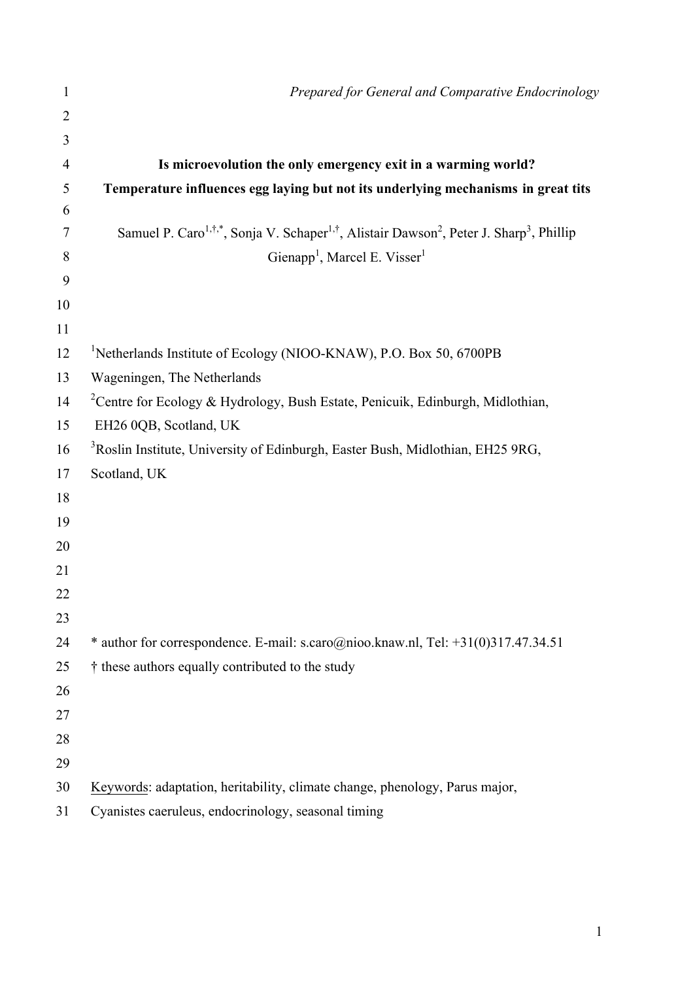| 1              | Prepared for General and Comparative Endocrinology                                                                                       |
|----------------|------------------------------------------------------------------------------------------------------------------------------------------|
| $\overline{2}$ |                                                                                                                                          |
| 3              |                                                                                                                                          |
| 4              | Is microevolution the only emergency exit in a warming world?                                                                            |
| 5              | Temperature influences egg laying but not its underlying mechanisms in great tits                                                        |
| 6              |                                                                                                                                          |
| 7              | Samuel P. Caro <sup>1,†,*</sup> , Sonja V. Schaper <sup>1,†</sup> , Alistair Dawson <sup>2</sup> , Peter J. Sharp <sup>3</sup> , Phillip |
| 8              | Gienapp <sup>1</sup> , Marcel E. Visser <sup>1</sup>                                                                                     |
| 9              |                                                                                                                                          |
| 10             |                                                                                                                                          |
| 11             |                                                                                                                                          |
| 12             | <sup>1</sup> Netherlands Institute of Ecology (NIOO-KNAW), P.O. Box 50, 6700PB                                                           |
| 13             | Wageningen, The Netherlands                                                                                                              |
| 14             | <sup>2</sup> Centre for Ecology & Hydrology, Bush Estate, Penicuik, Edinburgh, Midlothian,                                               |
| 15             | EH26 0QB, Scotland, UK                                                                                                                   |
| 16             | <sup>3</sup> Roslin Institute, University of Edinburgh, Easter Bush, Midlothian, EH25 9RG,                                               |
| 17             | Scotland, UK                                                                                                                             |
| 18             |                                                                                                                                          |
| 19             |                                                                                                                                          |
| 20             |                                                                                                                                          |
| 21             |                                                                                                                                          |
| 22             |                                                                                                                                          |
| 23             |                                                                                                                                          |
| 24             | * author for correspondence. E-mail: s.caro@nioo.knaw.nl, Tel: +31(0)317.47.34.51                                                        |
| 25             | † these authors equally contributed to the study                                                                                         |
| 26             |                                                                                                                                          |
| 27             |                                                                                                                                          |
| 28             |                                                                                                                                          |
| 29             |                                                                                                                                          |
| 30             | Keywords: adaptation, heritability, climate change, phenology, Parus major,                                                              |
| 31             | Cyanistes caeruleus, endocrinology, seasonal timing                                                                                      |

1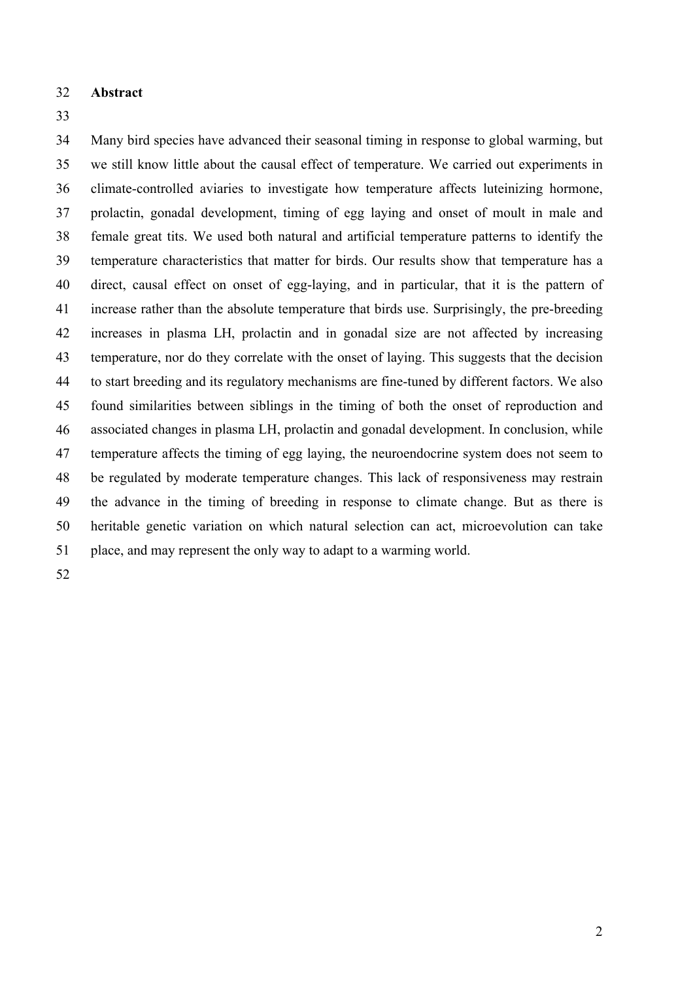- 32 **Abstract**
- 33

34 35 36 37 38 39 40 41 42 43 44 45 46 47 48 49 50 Many bird species have advanced their seasonal timing in response to global warming, but we still know little about the causal effect of temperature. We carried out experiments in climate-controlled aviaries to investigate how temperature affects luteinizing hormone, prolactin, gonadal development, timing of egg laying and onset of moult in male and female great tits. We used both natural and artificial temperature patterns to identify the temperature characteristics that matter for birds. Our results show that temperature has a direct, causal effect on onset of egg-laying, and in particular, that it is the pattern of increase rather than the absolute temperature that birds use. Surprisingly, the pre-breeding increases in plasma LH, prolactin and in gonadal size are not affected by increasing temperature, nor do they correlate with the onset of laying. This suggests that the decision to start breeding and its regulatory mechanisms are fine-tuned by different factors. We also found similarities between siblings in the timing of both the onset of reproduction and associated changes in plasma LH, prolactin and gonadal development. In conclusion, while temperature affects the timing of egg laying, the neuroendocrine system does not seem to be regulated by moderate temperature changes. This lack of responsiveness may restrain the advance in the timing of breeding in response to climate change. But as there is heritable genetic variation on which natural selection can act, microevolution can take 51 place, and may represent the only way to adapt to a warming world.

52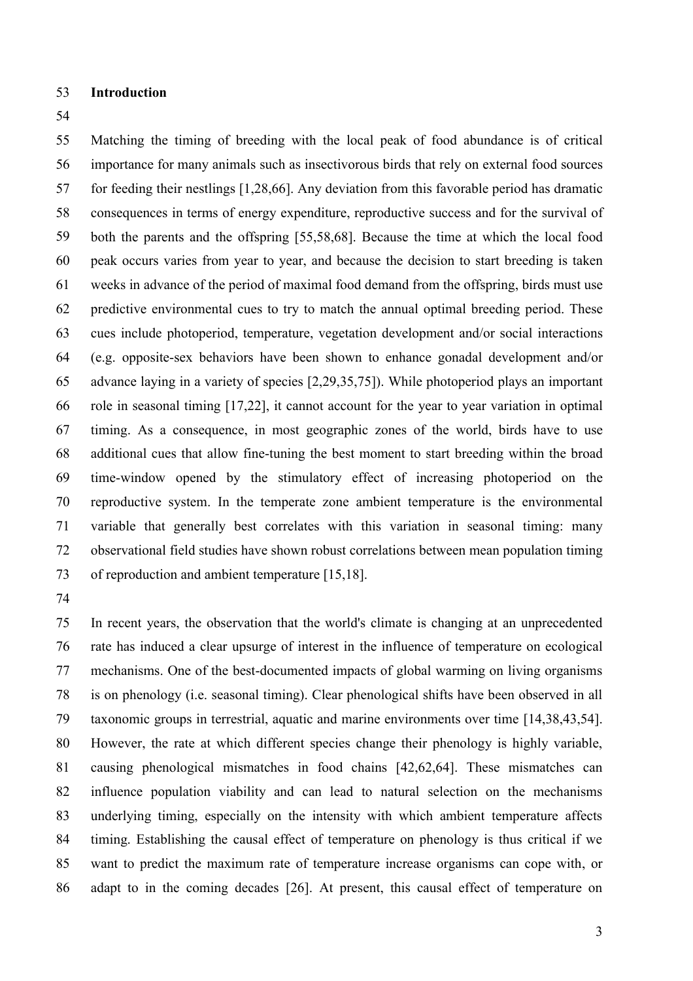### **Introduction**

 Matching the timing of breeding with the local peak of food abundance is of critical importance for many animals such as insectivorous birds that rely on external food sources for feeding their nestlings [\[1,](#page-11-0)[28](#page-13-0)[,66\]](#page-15-0). Any deviation from this favorable period has dramatic consequences in terms of energy expenditure, reproductive success and for the survival of both the parents and the offspring [\[55,](#page-14-0)[58,](#page-14-1)[68\]](#page-15-1). Because the time at which the local food peak occurs varies from year to year, and because the decision to start breeding is taken weeks in advance of the period of maximal food demand from the offspring, birds must use predictive environmental cues to try to match the annual optimal breeding period. These cues include photoperiod, temperature, vegetation development and/or social interactions (e.g. opposite-sex behaviors have been shown to enhance gonadal development and/or advance laying in a variety of species [\[2,](#page-11-1)[29,](#page-13-1)[35,](#page-13-2)[75\]](#page-15-2)). While photoperiod plays an important role in seasonal timing [\[17,](#page-12-0)[22\]](#page-12-1), it cannot account for the year to year variation in optimal timing. As a consequence, in most geographic zones of the world, birds have to use additional cues that allow fine-tuning the best moment to start breeding within the broad time-window opened by the stimulatory effect of increasing photoperiod on the reproductive system. In the temperate zone ambient temperature is the environmental variable that generally best correlates with this variation in seasonal timing: many observational field studies have shown robust correlations between mean population timing of reproduction and ambient temperature [\[15](#page-12-2)[,18\]](#page-12-3).

 In recent years, the observation that the world's climate is changing at an unprecedented rate has induced a clear upsurge of interest in the influence of temperature on ecological mechanisms. One of the best-documented impacts of global warming on living organisms is on phenology (i.e. seasonal timing). Clear phenological shifts have been observed in all taxonomic groups in terrestrial, aquatic and marine environments over time [\[14,](#page-12-4)[38,](#page-13-3)[43,](#page-14-2)[54\]](#page-14-3). However, the rate at which different species change their phenology is highly variable, causing phenological mismatches in food chains [\[42](#page-13-4)[,62](#page-15-3)[,64\]](#page-15-4). These mismatches can influence population viability and can lead to natural selection on the mechanisms underlying timing, especially on the intensity with which ambient temperature affects timing. Establishing the causal effect of temperature on phenology is thus critical if we want to predict the maximum rate of temperature increase organisms can cope with, or adapt to in the coming decades [\[26\]](#page-13-5). At present, this causal effect of temperature on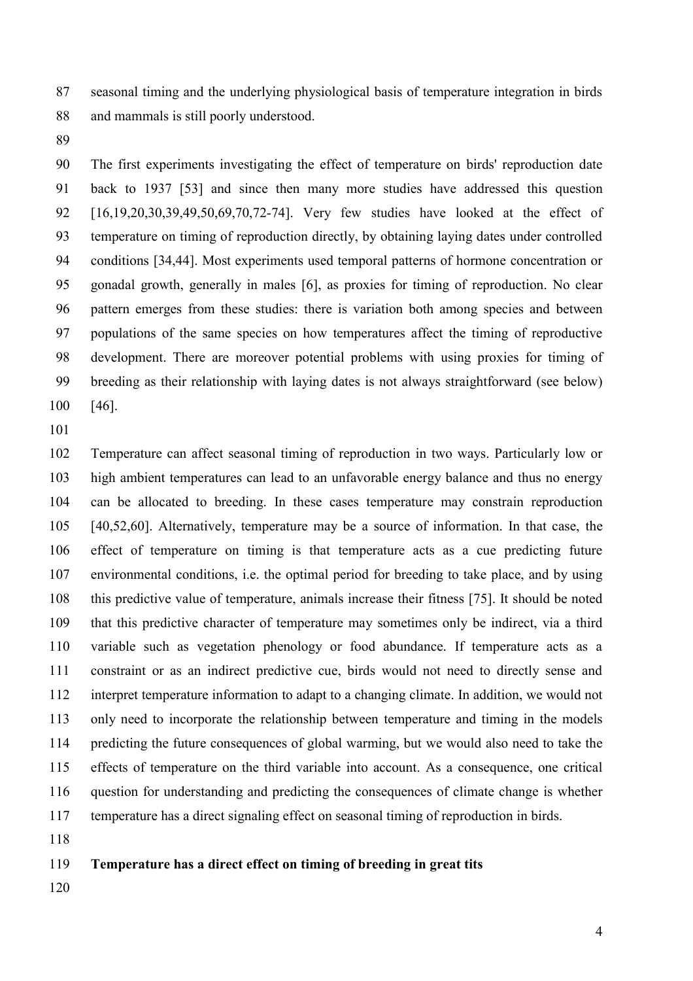seasonal timing and the underlying physiological basis of temperature integration in birds and mammals is still poorly understood.

 The first experiments investigating the effect of temperature on birds' reproduction date back to 1937 [\[53\]](#page-14-4) and since then many more studies have addressed this question [\[16](#page-12-5)[,19](#page-12-6)[,20](#page-12-7)[,30](#page-13-6)[,39](#page-13-7)[,49](#page-14-5)[,50](#page-14-6)[,69](#page-15-5)[,70](#page-15-6)[,72-74\]](#page-15-7). Very few studies have looked at the effect of temperature on timing of reproduction directly, by obtaining laying dates under controlled conditions [\[34](#page-13-8)[,44\]](#page-14-7). Most experiments used temporal patterns of hormone concentration or gonadal growth, generally in males [\[6\]](#page-12-8), as proxies for timing of reproduction. No clear pattern emerges from these studies: there is variation both among species and between populations of the same species on how temperatures affect the timing of reproductive development. There are moreover potential problems with using proxies for timing of breeding as their relationship with laying dates is not always straightforward (see below) [\[46\]](#page-14-8).

 Temperature can affect seasonal timing of reproduction in two ways. Particularly low or high ambient temperatures can lead to an unfavorable energy balance and thus no energy can be allocated to breeding. In these cases temperature may constrain reproduction [\[40](#page-13-9)[,52](#page-14-9)[,60\]](#page-15-8). Alternatively, temperature may be a source of information. In that case, the effect of temperature on timing is that temperature acts as a cue predicting future environmental conditions, i.e. the optimal period for breeding to take place, and by using this predictive value of temperature, animals increase their fitness [\[75\]](#page-15-2). It should be noted that this predictive character of temperature may sometimes only be indirect, via a third variable such as vegetation phenology or food abundance. If temperature acts as a constraint or as an indirect predictive cue, birds would not need to directly sense and interpret temperature information to adapt to a changing climate. In addition, we would not only need to incorporate the relationship between temperature and timing in the models predicting the future consequences of global warming, but we would also need to take the effects of temperature on the third variable into account. As a consequence, one critical question for understanding and predicting the consequences of climate change is whether temperature has a direct signaling effect on seasonal timing of reproduction in birds.

#### **Temperature has a direct effect on timing of breeding in great tits**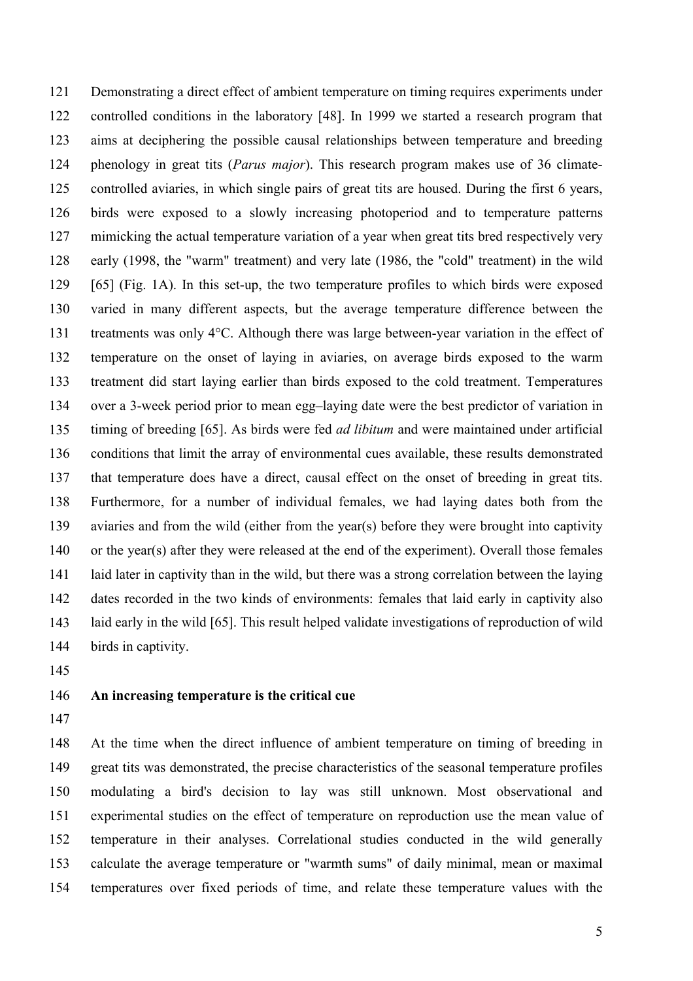Demonstrating a direct effect of ambient temperature on timing requires experiments under controlled conditions in the laboratory [\[48\]](#page-14-10). In 1999 we started a research program that aims at deciphering the possible causal relationships between temperature and breeding phenology in great tits (*Parus major*). This research program makes use of 36 climatecontrolled aviaries, in which single pairs of great tits are housed. During the first 6 years, birds were exposed to a slowly increasing photoperiod and to temperature patterns mimicking the actual temperature variation of a year when great tits bred respectively very early (1998, the "warm" treatment) and very late (1986, the "cold" treatment) in the wild [\[65\]](#page-15-9) (Fig. 1A). In this set-up, the two temperature profiles to which birds were exposed varied in many different aspects, but the average temperature difference between the treatments was only 4°C. Although there was large between-year variation in the effect of temperature on the onset of laying in aviaries, on average birds exposed to the warm treatment did start laying earlier than birds exposed to the cold treatment. Temperatures over a 3-week period prior to mean egg–laying date were the best predictor of variation in timing of breeding [\[65\]](#page-15-9). As birds were fed *ad libitum* and were maintained under artificial conditions that limit the array of environmental cues available, these results demonstrated that temperature does have a direct, causal effect on the onset of breeding in great tits. Furthermore, for a number of individual females, we had laying dates both from the aviaries and from the wild (either from the year(s) before they were brought into captivity or the year(s) after they were released at the end of the experiment). Overall those females laid later in captivity than in the wild, but there was a strong correlation between the laying dates recorded in the two kinds of environments: females that laid early in captivity also laid early in the wild [6[5\]. T](#page-15-9)his result helped validate investigations of reproduction of wild birds in captivity.

# **An increasing temperature is the critical cue**

 At the time when the direct influence of ambient temperature on timing of breeding in great tits was demonstrated, the precise characteristics of the seasonal temperature profiles modulating a bird's decision to lay was still unknown. Most observational and experimental studies on the effect of temperature on reproduction use the mean value of temperature in their analyses. Correlational studies conducted in the wild generally calculate the average temperature or "warmth sums" of daily minimal, mean or maximal temperatures over fixed periods of time, and relate these temperature values with the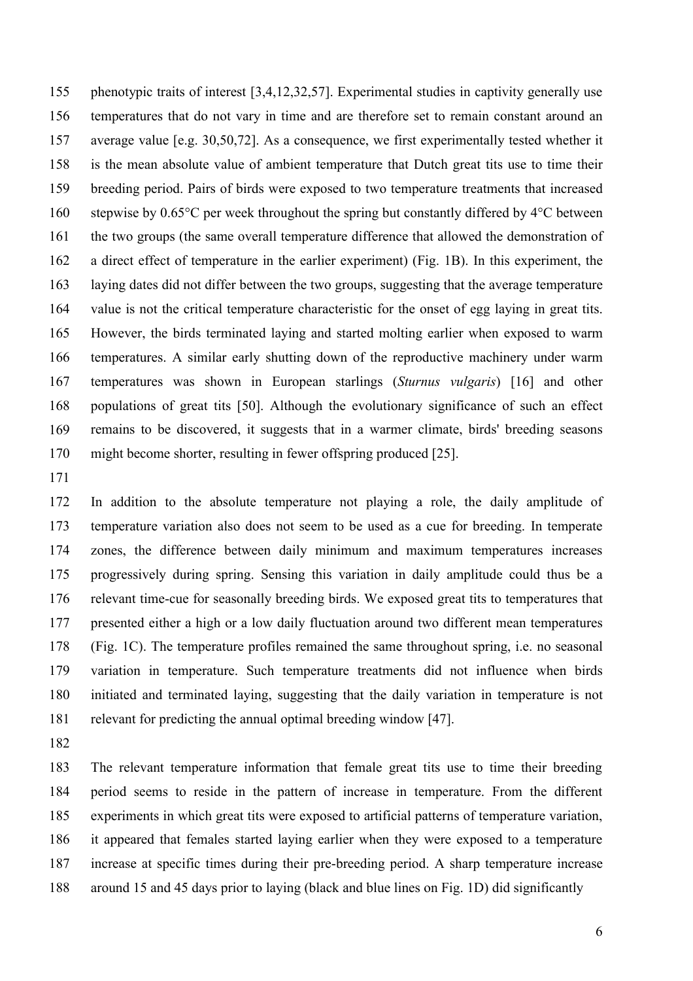155 156 157 158 159 160 161 162 163 164 165 166 167 168 169 phenotypic traits of interest [\[3](#page-12-9)[,4](#page-12-10)[,12](#page-12-11)[,32](#page-13-10)[,57\]](#page-14-11). Experimental studies in captivity generally use temperatures that do not vary in time and are therefore set to remain constant around an average value [e.g. [30](#page-13-6)[,50](#page-14-6)[,72\]](#page-15-7). As a consequence, we first experimentally tested whether it is the mean absolute value of ambient temperature that Dutch great tits use to time their breeding period. Pairs of birds were exposed to two temperature treatments that increased stepwise by 0.65°C per week throughout the spring but constantly differed by 4°C between the two groups (the same overall temperature difference that allowed the demonstration of a direct effect of temperature in the earlier experiment) (Fig. 1B). In this experiment, the laying dates did not differ between the two groups, suggesting that the average temperature value is not the critical temperature characteristic for the onset of egg laying in great tits. However, the birds terminated laying and started molting earlier when exposed to warm temperatures. A similar early shutting down of the reproductive machinery under warm temperatures was shown in European starlings (*Sturnus vulgaris*) [\[16\]](#page-12-5) and other populations of great tits [\[50\]](#page-14-6). Although the evolutionary significance of such an effect remains to be discovered, it suggests that in a warmer climate, birds' breeding seasons 170 might become shorter, resulting in fewer offspring produced [\[25\]](#page-13-11).

171

172 173 174 175 176 177 178 179 180 In addition to the absolute temperature not playing a role, the daily amplitude of temperature variation also does not seem to be used as a cue for breeding. In temperate zones, the difference between daily minimum and maximum temperatures increases progressively during spring. Sensing this variation in daily amplitude could thus be a relevant time-cue for seasonally breeding birds. We exposed great tits to temperatures that presented either a high or a low daily fluctuation around two different mean temperatures (Fig. 1C). The temperature profiles remained the same throughout spring, i.e. no seasonal variation in temperature. Such temperature treatments did not influence when birds initiated and terminated laying, suggesting that the daily variation in temperature is not 181 relevant for predicting the annual optimal breeding window [\[47\]](#page-14-12).

182

183 184 185 186 187 The relevant temperature information that female great tits use to time their breeding period seems to reside in the pattern of increase in temperature. From the different experiments in which great tits were exposed to artificial patterns of temperature variation, it appeared that females started laying earlier when they were exposed to a temperature increase at specific times during their pre-breeding period. A sharp temperature increase 188 around 15 and 45 days prior to laying (black and blue lines on Fig. 1D) did significantly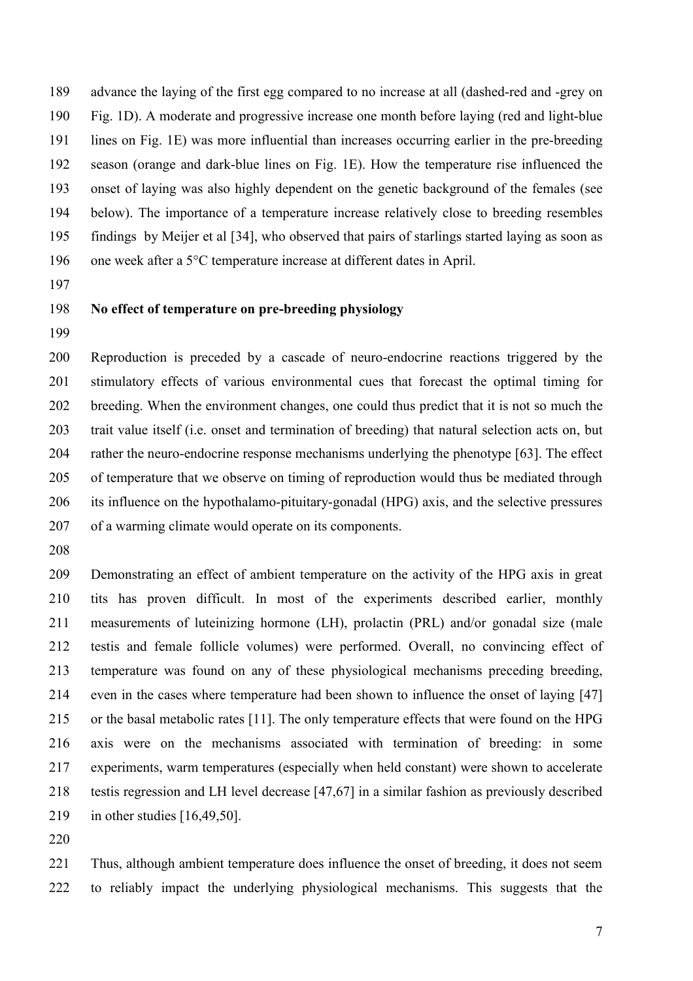advance the laying of the first egg compared to no increase at all (dashed-red and -grey on Fig. 1D). A moderate and progressive increase one month before laying (red and light-blue lines on Fig. 1E) was more influential than increases occurring earlier in the pre-breeding season (orange and dark-blue lines on Fig. 1E). How the temperature rise influenced the onset of laying was also highly dependent on the genetic background of the females (see below). The importance of a temperature increase relatively close to breeding resembles findings by Meijer et al [\[34\]](#page-13-8), who observed that pairs of starlings started laying as soon as one week after a 5°C temperature increase at different dates in April.

# **No effect of temperature on pre-breeding physiology**

 Reproduction is preceded by a cascade of neuro-endocrine reactions triggered by the stimulatory effects of various environmental cues that forecast the optimal timing for breeding. When the environment changes, one could thus predict that it is not so much the trait value itself (i.e. onset and termination of breeding) that natural selection acts on, but rather the neuro-endocrine response mechanisms underlying the phenotype [\[63\]](#page-15-10). The effect of temperature that we observe on timing of reproduction would thus be mediated through its influence on the hypothalamo-pituitary-gonadal (HPG) axis, and the selective pressures of a warming climate would operate on its components.

 Demonstrating an effect of ambient temperature on the activity of the HPG axis in great tits has proven difficult. In most of the experiments described earlier, monthly measurements of luteinizing hormone (LH), prolactin (PRL) and/or gonadal size (male testis and female follicle volumes) were performed. Overall, no convincing effect of temperature was found on any of these physiological mechanisms preceding breeding, even in the cases where temperature had been shown to influence the onset of laying [\[47\]](#page-14-12) or the basal metabolic rates [\[11\]](#page-12-12). The only temperature effects that were found on the HPG axis were on the mechanisms associated with termination of breeding: in some experiments, warm temperatures (especially when held constant) were shown to accelerate testis regression and LH level decrease [\[47](#page-14-12)[,67\]](#page-15-11) in a similar fashion as previously described in other studies [\[16,](#page-12-5)[49,](#page-14-5)[50\]](#page-14-6).

 Thus, although ambient temperature does influence the onset of breeding, it does not seem to reliably impact the underlying physiological mechanisms. This suggests that the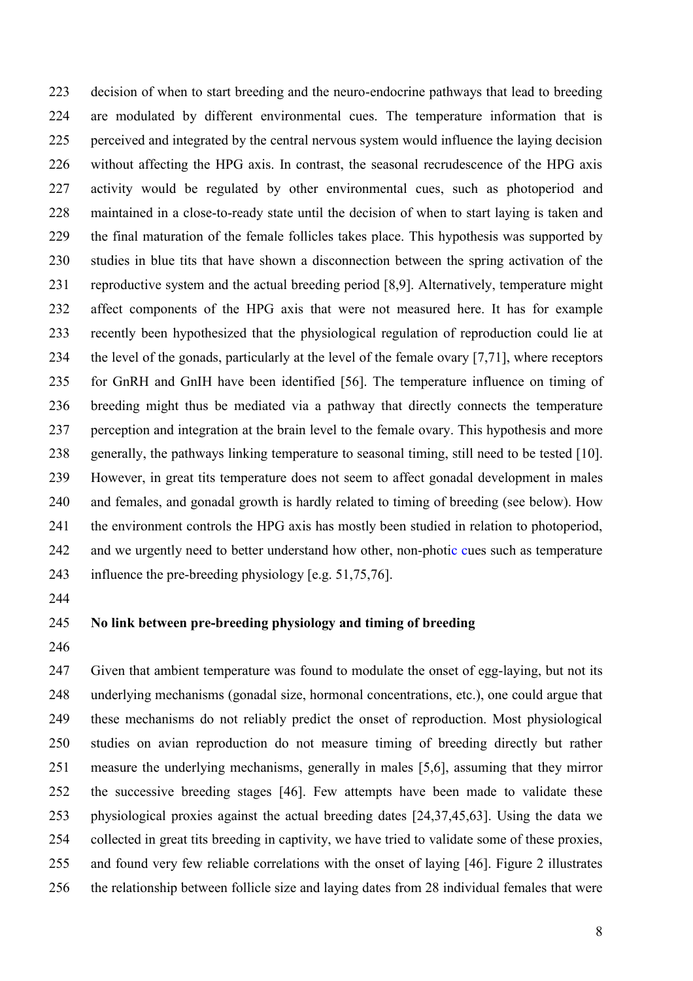223 224 225 226 227 228 229 230 231 232 233 234 235 236 237 238 239 240 241 242 decision of when to start breeding and the neuro-endocrine pathways that lead to breeding are modulated by different environmental cues. The temperature information that is perceived and integrated by the central nervous system would influence the laying decision without affecting the HPG axis. In contrast, the seasonal recrudescence of the HPG axis activity would be regulated by other environmental cues, such as photoperiod and maintained in a close-to-ready state until the decision of when to start laying is taken and the final maturation of the female follicles takes place. This hypothesis was supported by studies in blue tits that have shown a disconnection between the spring activation of the reproductive system and the actual breeding period [\[8](#page-12-13)[,9\]](#page-12-14). Alternatively, temperature might affect components of the HPG axis that were not measured here. It has for example recently been hypothesized that the physiological regulation of reproduction could lie at the level of the gonads, particularly at the level of the female ovary [\[7](#page-12-15)[,71\]](#page-15-12), where receptors for GnRH and GnIH have been identified [\[56\]](#page-14-13). The temperature influence on timing of breeding might thus be mediated via a pathway that directly connects the temperature perception and integration at the brain level to the female ovary. This hypothesis and more generally, the pathways linking temperature to seasonal timing, still need to be tested [\[10\]](#page-12-16). However, in great tits temperature does not seem to affect gonadal development in males and females, and gonadal growth is hardly related to timing of breeding (see below). How the environment controls the HPG axis has mostly been studied in relation to photoperiod, and we urgently need to better understand how other, non-photic cues such as temperature 243 influence the pre-breeding physiology [e.g. [51,](#page-14-14)[75,](#page-15-2)[76\]](#page-15-13).

244

# 245 **No link between pre-breeding physiology and timing of breeding**

246

247 248 249 250 251 252 253 254 255 Given that ambient temperature was found to modulate the onset of egg-laying, but not its underlying mechanisms (gonadal size, hormonal concentrations, etc.), one could argue that these mechanisms do not reliably predict the onset of reproduction. Most physiological studies on avian reproduction do not measure timing of breeding directly but rather measure the underlying mechanisms, generally in males [\[5,](#page-12-17)[6\]](#page-12-8), assuming that they mirror the successive breeding stages [\[46\]](#page-14-8). Few attempts have been made to validate these physiological proxies against the actual breeding dates [\[24,](#page-13-12)[37](#page-13-13)[,45](#page-14-15)[,63\]](#page-15-10). Using the data we collected in great tits breeding in captivity, we have tried to validate some of these proxies, and found very few reliable correlations with the onset of laying [\[46\]](#page-14-8). Figure 2 illustrates 256 the relationship between follicle size and laying dates from 28 individual females that were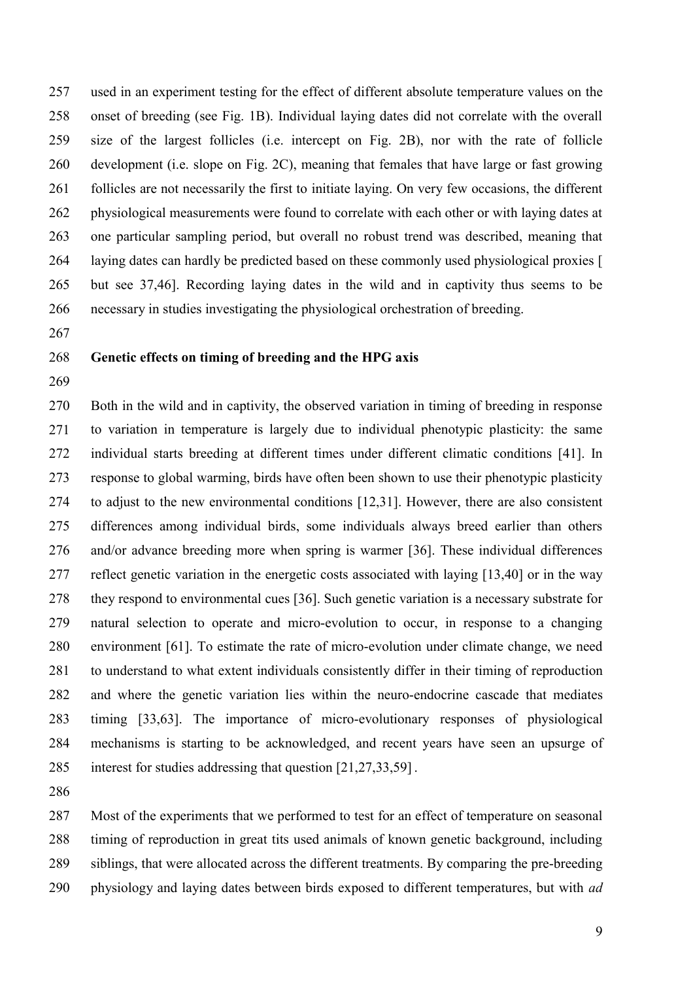used in an experiment testing for the effect of different absolute temperature values on the onset of breeding (see Fig. 1B). Individual laying dates did not correlate with the overall size of the largest follicles (i.e. intercept on Fig. 2B), nor with the rate of follicle development (i.e. slope on Fig. 2C), meaning that females that have large or fast growing follicles are not necessarily the first to initiate laying. On very few occasions, the different physiological measurements were found to correlate with each other or with laying dates at one particular sampling period, but overall no robust trend was described, meaning that laying dates can hardly be predicted based on these commonly used physiological proxies [\[](#page-13-13) [but see 37](#page-13-13)[,46\]](#page-14-8). Recording laying dates in the wild and in captivity thus seems to be necessary in studies investigating the physiological orchestration of breeding.

## **Genetic effects on timing of breeding and the HPG axis**

 Both in the wild and in captivity, the observed variation in timing of breeding in response to variation in temperature is largely due to individual phenotypic plasticity: the same individual starts breeding at different times under different climatic conditions [\[41\]](#page-13-14). In response to global warming, birds have often been shown to use their phenotypic plasticity to adjust to the new environmental conditions [\[12,](#page-12-11)[31\]](#page-13-15). However, there are also consistent differences among individual birds, some individuals always breed earlier than others and/or advance breeding more when spring is warmer [\[36\]](#page-13-16). These individual differences reflect genetic variation in the energetic costs associated with laying [\[13](#page-12-18)[,40\]](#page-13-9) or in the way they respond to environmental cues [\[36\]](#page-13-16). Such genetic variation is a necessary substrate for natural selection to operate and micro-evolution to occur, in response to a changing environment [\[61\]](#page-15-14). To estimate the rate of micro-evolution under climate change, we need to understand to what extent individuals consistently differ in their timing of reproduction and where the genetic variation lies within the neuro-endocrine cascade that mediates timing [\[33](#page-13-17)[,63\]](#page-15-10). The importance of micro-evolutionary responses of physiological mechanisms is starting to be acknowledged, and recent years have seen an upsurge of interest for studies addressing that question [\[21](#page-12-19)[,27](#page-13-18)[,33](#page-13-17)[,59\]](#page-14-16) .

 Most of the experiments that we performed to test for an effect of temperature on seasonal timing of reproduction in great tits used animals of known genetic background, including siblings, that were allocated across the different treatments. By comparing the pre-breeding physiology and laying dates between birds exposed to different temperatures, but with *ad*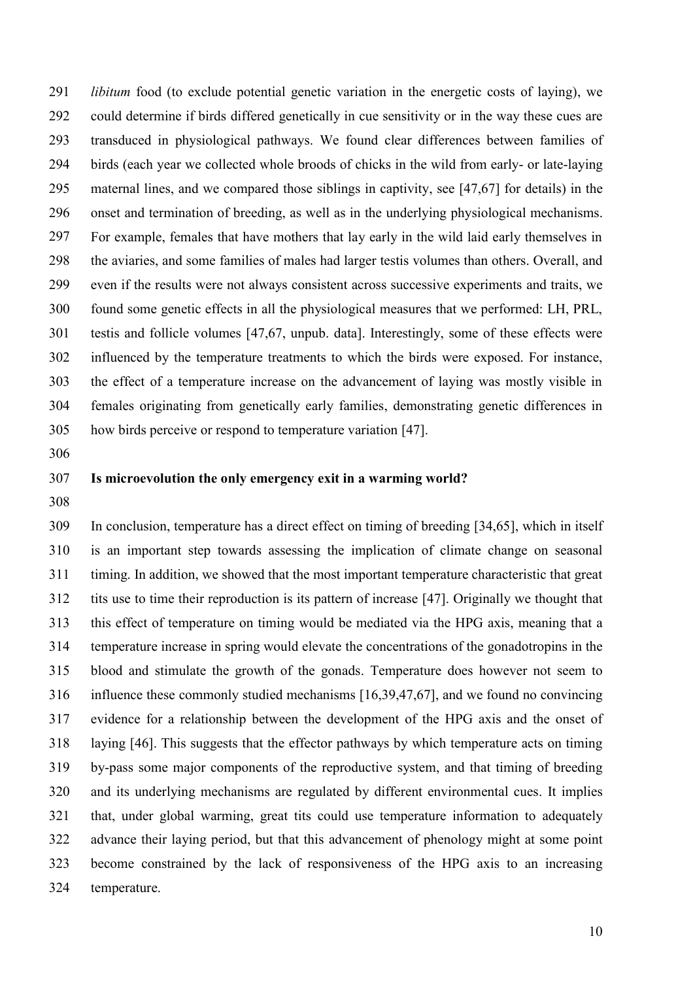*libitum* food (to exclude potential genetic variation in the energetic costs of laying), we could determine if birds differed genetically in cue sensitivity or in the way these cues are transduced in physiological pathways. We found clear differences between families of birds (each year we collected whole broods of chicks in the wild from early- or late-laying maternal lines, and we compared those siblings in captivity, see [\[47](#page-14-12)[,67\]](#page-15-11) for details) in the onset and termination of breeding, as well as in the underlying physiological mechanisms. For example, females that have mothers that lay early in the wild laid early themselves in the aviaries, and some families of males had larger testis volumes than others. Overall, and even if the results were not always consistent across successive experiments and traits, we found some genetic effects in all the physiological measures that we performed: LH, PRL, testis and follicle volumes [\[47,](#page-14-12)[67, unpub. data\]](#page-15-11). Interestingly, some of these effects were influenced by the temperature treatments to which the birds were exposed. For instance, the effect of a temperature increase on the advancement of laying was mostly visible in females originating from genetically early families, demonstrating genetic differences in how birds perceive or respond to temperature variation [\[47\]](#page-14-12).

## **Is microevolution the only emergency exit in a warming world?**

 In conclusion, temperature has a direct effect on timing of breeding [\[34](#page-13-8)[,65\]](#page-15-9), which in itself is an important step towards assessing the implication of climate change on seasonal timing. In addition, we showed that the most important temperature characteristic that great tits use to time their reproduction is its pattern of increase [\[47\]](#page-14-12). Originally we thought that this effect of temperature on timing would be mediated via the HPG axis, meaning that a temperature increase in spring would elevate the concentrations of the gonadotropins in the blood and stimulate the growth of the gonads. Temperature does however not seem to influence these commonly studied mechanisms [\[16](#page-12-5)[,39](#page-13-7)[,47](#page-14-12)[,67\]](#page-15-11), and we found no convincing evidence for a relationship between the development of the HPG axis and the onset of laying [\[46\]](#page-14-8). This suggests that the effector pathways by which temperature acts on timing by-pass some major components of the reproductive system, and that timing of breeding and its underlying mechanisms are regulated by different environmental cues. It implies that, under global warming, great tits could use temperature information to adequately advance their laying period, but that this advancement of phenology might at some point become constrained by the lack of responsiveness of the HPG axis to an increasing temperature.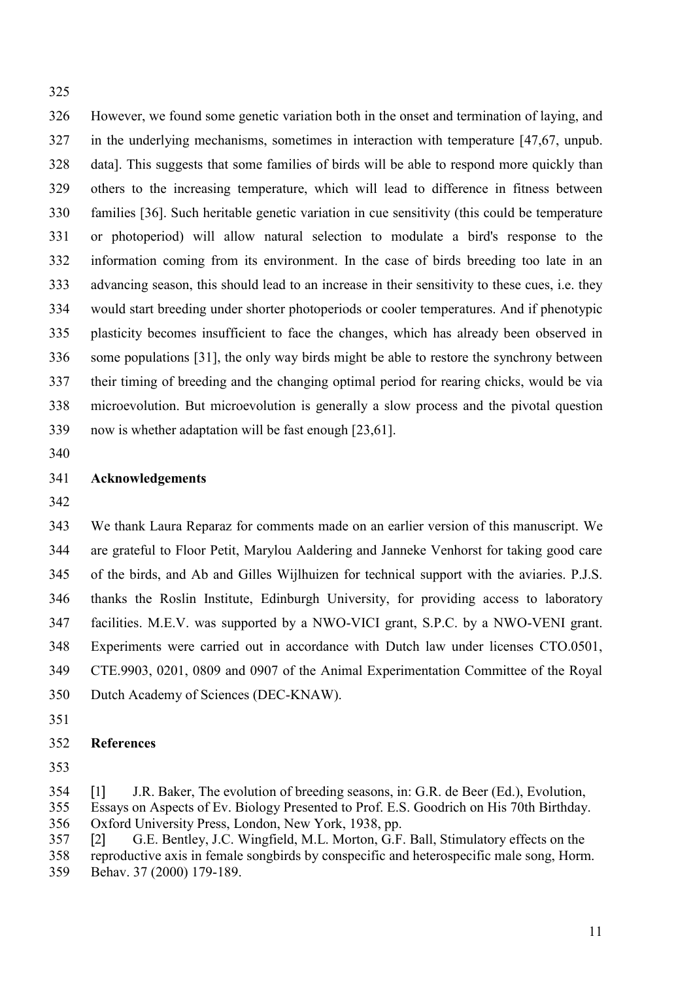However, we found some genetic variation both in the onset and termination of laying, and in the underlying mechanisms, sometimes in interaction with temperature [\[47](#page-14-12)[,67, unpub.](#page-15-11)  [data\]](#page-15-11). This suggests that some families of birds will be able to respond more quickly than others to the increasing temperature, which will lead to difference in fitness between families [\[36\]](#page-13-16). Such heritable genetic variation in cue sensitivity (this could be temperature or photoperiod) will allow natural selection to modulate a bird's response to the information coming from its environment. In the case of birds breeding too late in an advancing season, this should lead to an increase in their sensitivity to these cues, i.e. they would start breeding under shorter photoperiods or cooler temperatures. And if phenotypic plasticity becomes insufficient to face the changes, which has already been observed in some populations [\[31\]](#page-13-15), the only way birds might be able to restore the synchrony between their timing of breeding and the changing optimal period for rearing chicks, would be via microevolution. But microevolution is generally a slow process and the pivotal question now is whether adaptation will be fast enough [\[23](#page-13-19)[,61\]](#page-15-14).

# **Acknowledgements**

 We thank Laura Reparaz for comments made on an earlier version of this manuscript. We are grateful to Floor Petit, Marylou Aaldering and Janneke Venhorst for taking good care of the birds, and Ab and Gilles Wijlhuizen for technical support with the aviaries. P.J.S. thanks the Roslin Institute, Edinburgh University, for providing access to laboratory facilities. M.E.V. was supported by a NWO-VICI grant, S.P.C. by a NWO-VENI grant. Experiments were carried out in accordance with Dutch law under licenses CTO.0501, CTE.9903, 0201, 0809 and 0907 of the Animal Experimentation Committee of the Royal Dutch Academy of Sciences (DEC-KNAW).

- 
- **References**
- 

<span id="page-11-0"></span>[1] J.R. Baker, The evolution of breeding seasons, in: G.R. de Beer (Ed.), Evolution,

- Essays on Aspects of Ev. Biology Presented to Prof. E.S. Goodrich on His 70th Birthday. Oxford University Press, London, New York, 1938, pp.
- <span id="page-11-1"></span>[2] G.E. Bentley, J.C. Wingfield, M.L. Morton, G.F. Ball, Stimulatory effects on the
- reproductive axis in female songbirds by conspecific and heterospecific male song, Horm.
- Behav. 37 (2000) 179-189.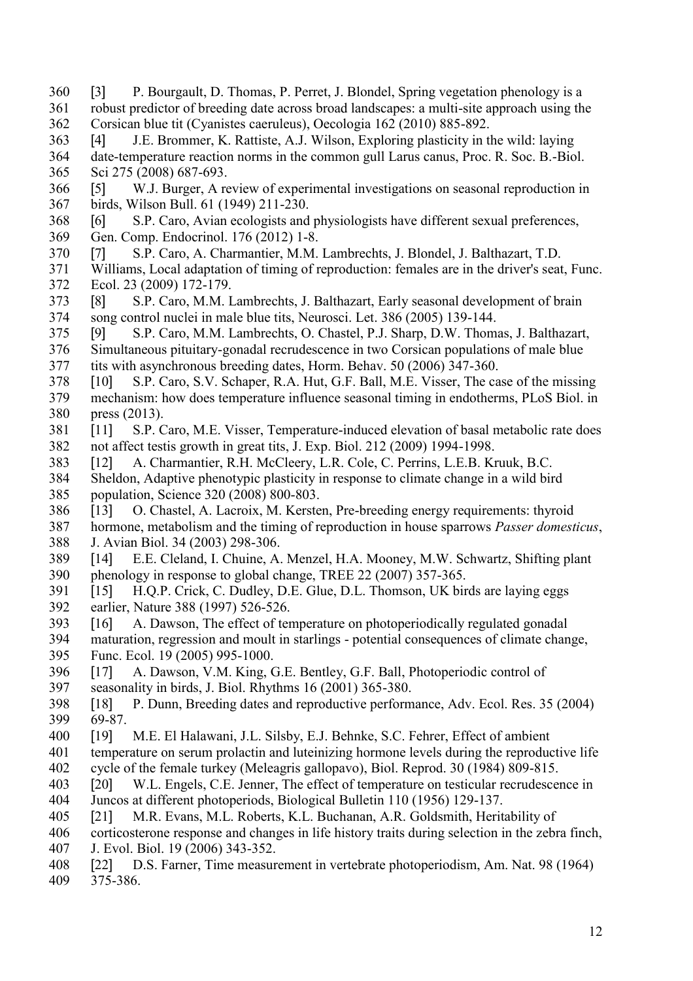- <span id="page-12-9"></span> [3] P. Bourgault, D. Thomas, P. Perret, J. Blondel, Spring vegetation phenology is a 361 robust predictor of breeding date across broad landscapes: a multi-site approach using the<br>362 Corsican blue tit (Cvanistes caeruleus). Oecologia 162 (2010) 885-892. Corsican blue tit (Cyanistes caeruleus), Oecologia 162 (2010) 885-892.
- <span id="page-12-10"></span> [4] J.E. Brommer, K. Rattiste, A.J. Wilson, Exploring plasticity in the wild: laying 364 date-temperature reaction norms in the common gull Larus canus, Proc. R. Soc. B.-Biol.<br>365 Sci 275 (2008) 687-693. Sci 275 (2008) 687-693.
- <span id="page-12-17"></span> [5] W.J. Burger, A review of experimental investigations on seasonal reproduction in birds, Wilson Bull. 61 (1949) 211-230.
- <span id="page-12-8"></span>368 [6] S.P. Caro, Avian ecologists and physiologists have different sexual preferences, Gen. Comp. Endocrinol. 176 (2012) 1-8.
- Gen. Comp. Endocrinol. 176 (2012) 1-8.
- <span id="page-12-15"></span>[7] S.P. Caro, A. Charmantier, M.M. Lambrechts, J. Blondel, J. Balthazart, T.D.
- Williams, Local adaptation of timing of reproduction: females are in the driver's seat, Func. Ecol. 23 (2009) 172-179.
- <span id="page-12-13"></span> [8] S.P. Caro, M.M. Lambrechts, J. Balthazart, Early seasonal development of brain song control nuclei in male blue tits, Neurosci. Let. 386 (2005) 139-144.
- <span id="page-12-14"></span> [9] S.P. Caro, M.M. Lambrechts, O. Chastel, P.J. Sharp, D.W. Thomas, J. Balthazart, 376 Simultaneous pituitary-gonadal recrudescence in two Corsican populations of male blue<br>377 tits with asynchronous breeding dates. Horm. Behav. 50 (2006) 347-360. tits with asynchronous breeding dates. Horm. Behav. 50 (2006) 347-360.
- <span id="page-12-16"></span> [10] S.P. Caro, S.V. Schaper, R.A. Hut, G.F. Ball, M.E. Visser, The case of the missing mechanism: how does temperature influence seasonal timing in endotherms, PLoS Biol. in press (2013).
- <span id="page-12-12"></span> [11] S.P. Caro, M.E. Visser, Temperature-induced elevation of basal metabolic rate does not affect testis growth in great tits, J. Exp. Biol. 212 (2009) 1994-1998.
- <span id="page-12-11"></span>[12] A. Charmantier, R.H. McCleery, L.R. Cole, C. Perrins, L.E.B. Kruuk, B.C.
- Sheldon, Adaptive phenotypic plasticity in response to climate change in a wild bird population, Science 320 (2008) 800-803.
- <span id="page-12-18"></span>[13] O. Chastel, A. Lacroix, M. Kersten, Pre-breeding energy requirements: thyroid
- hormone, metabolism and the timing of reproduction in house sparrows *Passer domesticus*, J. Avian Biol. 34 (2003) 298-306.
- <span id="page-12-4"></span> [14] E.E. Cleland, I. Chuine, A. Menzel, H.A. Mooney, M.W. Schwartz, Shifting plant phenology in response to global change, TREE 22 (2007) 357-365.
- <span id="page-12-2"></span> [15] H.Q.P. Crick, C. Dudley, D.E. Glue, D.L. Thomson, UK birds are laying eggs earlier, Nature 388 (1997) 526-526.
- <span id="page-12-5"></span>[16] A. Dawson, The effect of temperature on photoperiodically regulated gonadal
- maturation, regression and moult in starlings potential consequences of climate change, Func. Ecol. 19 (2005) 995-1000.
- <span id="page-12-0"></span>[17] A. Dawson, V.M. King, G.E. Bentley, G.F. Ball, Photoperiodic control of
- seasonality in birds, J. Biol. Rhythms 16 (2001) 365-380.
- <span id="page-12-3"></span> [18] P. Dunn, Breeding dates and reproductive performance, Adv. Ecol. Res. 35 (2004) 69-87.
- <span id="page-12-6"></span>[19] M.E. El Halawani, J.L. Silsby, E.J. Behnke, S.C. Fehrer, Effect of ambient
- temperature on serum prolactin and luteinizing hormone levels during the reproductive life cycle of the female turkey (Meleagris gallopavo), Biol. Reprod. 30 (1984) 809-815.
- <span id="page-12-7"></span> [20] W.L. Engels, C.E. Jenner, The effect of temperature on testicular recrudescence in Juncos at different photoperiods, Biological Bulletin 110 (1956) 129-137.
- <span id="page-12-19"></span>[21] M.R. Evans, M.L. Roberts, K.L. Buchanan, A.R. Goldsmith, Heritability of
- corticosterone response and changes in life history traits during selection in the zebra finch, J. Evol. Biol. 19 (2006) 343-352.
- <span id="page-12-1"></span> [22] D.S. Farner, Time measurement in vertebrate photoperiodism, Am. Nat. 98 (1964) 375-386.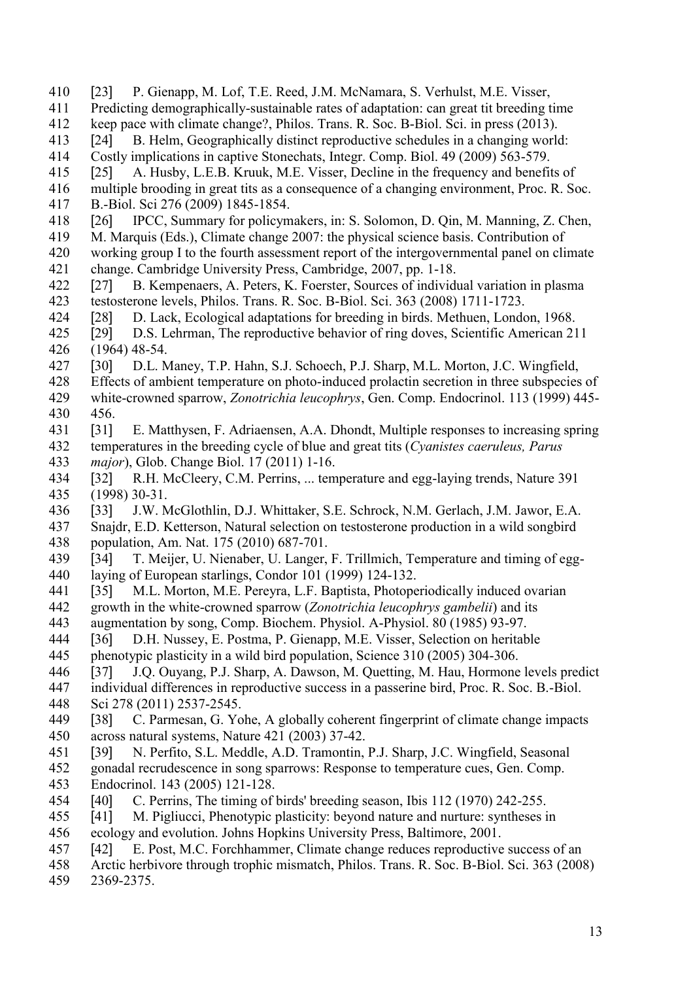- <span id="page-13-19"></span>[23] P. Gienapp, M. Lof, T.E. Reed, J.M. McNamara, S. Verhulst, M.E. Visser,
- 411 Predicting demographically-sustainable rates of adaptation: can great tit breeding time<br>412 keep pace with climate change? Philos. Trans. R. Soc. B-Biol. Sci. in press (2013).
- keep pace with climate change?, Philos. Trans. R. Soc. B-Biol. Sci. in press (2013).
- <span id="page-13-12"></span>413 [24] B. Helm, Geographically distinct reproductive schedules in a changing world:<br>414 Costly implications in captive Stonechats. Integr. Comp. Biol. 49 (2009) 563-579.
- 414 Costly implications in captive Stonechats, Integr. Comp. Biol. 49 (2009) 563-579.<br>415 [25] A. Husby, L.E.B. Kruuk, M.E. Visser, Decline in the frequency and benefit
- <span id="page-13-11"></span>[25] A. Husby, L.E.B. Kruuk, M.E. Visser, Decline in the frequency and benefits of
- 416 multiple brooding in great tits as a consequence of a changing environment, Proc. R. Soc.<br>417 B.-Biol. Sci 276 (2009) 1845-1854. B.-Biol. Sci 276 (2009) 1845-1854.
- <span id="page-13-5"></span>418 [26] IPCC, Summary for policymakers, in: S. Solomon, D. Qin, M. Manning, Z. Chen, M. Marquis (Eds.), Climate change 2007: the physical science basis. Contribution of
- M. Marquis (Eds.), Climate change 2007: the physical science basis. Contribution of
- working group I to the fourth assessment report of the intergovernmental panel on climate change. Cambridge University Press, Cambridge, 2007, pp. 1-18.
- <span id="page-13-18"></span> [27] B. Kempenaers, A. Peters, K. Foerster, Sources of individual variation in plasma testosterone levels, Philos. Trans. R. Soc. B-Biol. Sci. 363 (2008) 1711-1723.
- <span id="page-13-0"></span>[28] D. Lack, Ecological adaptations for breeding in birds. Methuen, London, 1968.
- <span id="page-13-1"></span> [29] D.S. Lehrman, The reproductive behavior of ring doves, Scientific American 211 426 (1964) 48-54.<br>427 [30] D.L. N
- <span id="page-13-6"></span>[30] D.L. Maney, T.P. Hahn, S.J. Schoech, P.J. Sharp, M.L. Morton, J.C. Wingfield,
- Effects of ambient temperature on photo-induced prolactin secretion in three subspecies of
- white-crowned sparrow, *Zonotrichia leucophrys*, Gen. Comp. Endocrinol. 113 (1999) 445- 456.
- <span id="page-13-15"></span> [31] E. Matthysen, F. Adriaensen, A.A. Dhondt, Multiple responses to increasing spring temperatures in the breeding cycle of blue and great tits (*Cyanistes caeruleus, Parus*
- *major*), Glob. Change Biol. 17 (2011) 1-16.
- <span id="page-13-10"></span> [32] R.H. McCleery, C.M. Perrins, ... temperature and egg-laying trends, Nature 391 (1998) 30-31.
- <span id="page-13-17"></span>[33] J.W. McGlothlin, D.J. Whittaker, S.E. Schrock, N.M. Gerlach, J.M. Jawor, E.A.
- Snajdr, E.D. Ketterson, Natural selection on testosterone production in a wild songbird 438 population, Am. Nat. 175 (2010) 687-701.<br>439 [34] T. Meijer, U. Nienaber, U. Langer.
- <span id="page-13-8"></span>[34] T. Meijer, U. Nienaber, U. Langer, F. Trillmich, Temperature and timing of egg-laying of European starlings, Condor 101 (1999) 124-132.
- <span id="page-13-2"></span>[35] M.L. Morton, M.E. Pereyra, L.F. Baptista, Photoperiodically induced ovarian
- growth in the white-crowned sparrow (*Zonotrichia leucophrys gambelii*) and its
- augmentation by song, Comp. Biochem. Physiol. A-Physiol. 80 (1985) 93-97.
- <span id="page-13-16"></span>[36] D.H. Nussey, E. Postma, P. Gienapp, M.E. Visser, Selection on heritable
- phenotypic plasticity in a wild bird population, Science 310 (2005) 304-306.
- <span id="page-13-13"></span>[37] J.Q. Ouyang, P.J. Sharp, A. Dawson, M. Quetting, M. Hau, Hormone levels predict
- individual differences in reproductive success in a passerine bird, Proc. R. Soc. B.-Biol. Sci 278 (2011) 2537-2545.
- <span id="page-13-3"></span> [38] C. Parmesan, G. Yohe, A globally coherent fingerprint of climate change impacts across natural systems, Nature 421 (2003) 37-42.
- <span id="page-13-7"></span>[39] N. Perfito, S.L. Meddle, A.D. Tramontin, P.J. Sharp, J.C. Wingfield, Seasonal
- 452 gonadal recrudescence in song sparrows: Response to temperature cues, Gen. Comp.<br>453 Endocrinol. 143 (2005) 121-128. Endocrinol. 143 (2005) 121-128.
- <span id="page-13-9"></span>[40] C. Perrins, The timing of birds' breeding season, Ibis 112 (1970) 242-255.
- <span id="page-13-14"></span>[41] M. Pigliucci, Phenotypic plasticity: beyond nature and nurture: syntheses in
- ecology and evolution. Johns Hopkins University Press, Baltimore, 2001.
- <span id="page-13-4"></span>[42] E. Post, M.C. Forchhammer, Climate change reduces reproductive success of an
- Arctic herbivore through trophic mismatch, Philos. Trans. R. Soc. B-Biol. Sci. 363 (2008)
- 2369-2375.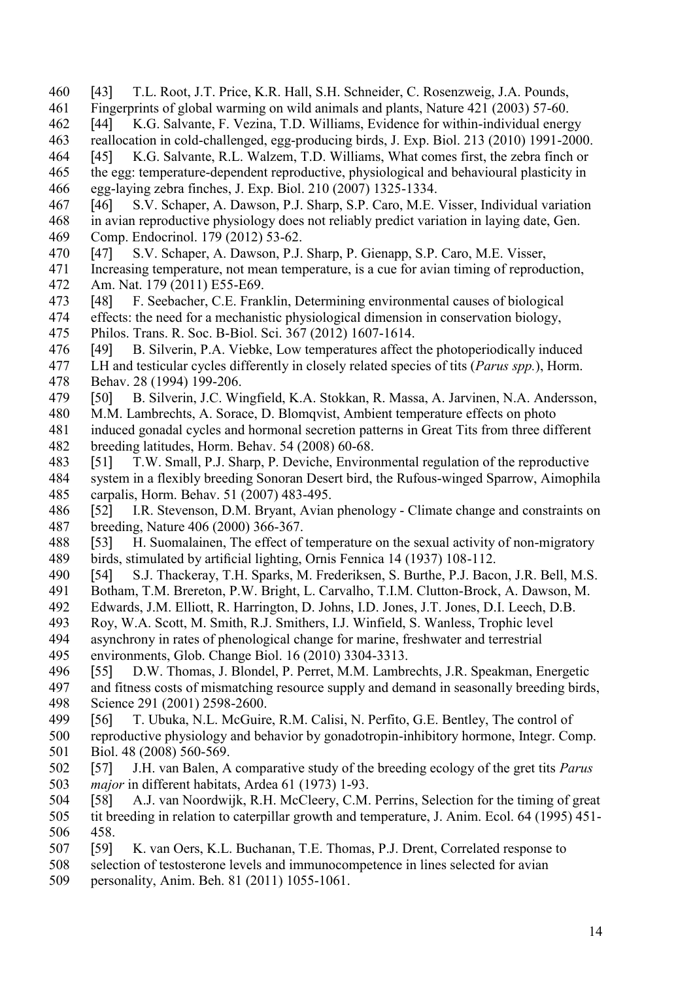- <span id="page-14-2"></span>[43] T.L. Root, J.T. Price, K.R. Hall, S.H. Schneider, C. Rosenzweig, J.A. Pounds,
- 461 Fingerprints of global warming on wild animals and plants, Nature 421 (2003) 57-60.<br>462 [44] K.G. Salvante, F. Vezina, T.D. Williams, Evidence for within-individual energi
- <span id="page-14-7"></span>[44] K.G. Salvante, F. Vezina, T.D. Williams, Evidence for within-individual energy
- 463 reallocation in cold-challenged, egg-producing birds, J. Exp. Biol. 213 (2010) 1991-2000.<br>464 [45] K.G. Salvante, R.L. Walzem, T.D. Williams, What comes first, the zebra finch or
- <span id="page-14-15"></span>[45] K.G. Salvante, R.L. Walzem, T.D. Williams, What comes first, the zebra finch or
- the egg: temperature-dependent reproductive, physiological and behavioural plasticity in egg-laying zebra finches, J. Exp. Biol. 210 (2007) 1325-1334.
- <span id="page-14-8"></span> [46] S.V. Schaper, A. Dawson, P.J. Sharp, S.P. Caro, M.E. Visser, Individual variation 468 in avian reproductive physiology does not reliably predict variation in laying date, Gen.<br>469 Comp. Endocrinol. 179 (2012) 53-62.
- Comp. Endocrinol. 179 (2012) 53-62.
- <span id="page-14-12"></span>[47] S.V. Schaper, A. Dawson, P.J. Sharp, P. Gienapp, S.P. Caro, M.E. Visser,
- Increasing temperature, not mean temperature, is a cue for avian timing of reproduction, 472 Am. Nat. 179 (2011) E55-E69.<br>473 [48] F. Seebacher, C.E. Fran
- <span id="page-14-10"></span>[48] F. Seebacher, C.E. Franklin, Determining environmental causes of biological
- effects: the need for a mechanistic physiological dimension in conservation biology,
- Philos. Trans. R. Soc. B-Biol. Sci. 367 (2012) 1607-1614.
- <span id="page-14-5"></span>476 [49] B. Silverin, P.A. Viebke, Low temperatures affect the photoperiodically induced 477 LH and testicular cycles differently in closely related species of tits (*Parus spp.*). Horm,
- LH and testicular cycles differently in closely related species of tits (*Parus spp.*), Horm. Behav. 28 (1994) 199-206.
- <span id="page-14-6"></span>[50] B. Silverin, J.C. Wingfield, K.A. Stokkan, R. Massa, A. Jarvinen, N.A. Andersson,
- M.M. Lambrechts, A. Sorace, D. Blomqvist, Ambient temperature effects on photo
- induced gonadal cycles and hormonal secretion patterns in Great Tits from three different breeding latitudes, Horm. Behav. 54 (2008) 60-68.
- <span id="page-14-14"></span>[51] T.W. Small, P.J. Sharp, P. Deviche, Environmental regulation of the reproductive
- system in a flexibly breeding Sonoran Desert bird, the Rufous-winged Sparrow, Aimophila carpalis, Horm. Behav. 51 (2007) 483-495.
- <span id="page-14-9"></span> [52] I.R. Stevenson, D.M. Bryant, Avian phenology - Climate change and constraints on breeding, Nature 406 (2000) 366-367.
- <span id="page-14-4"></span> [53] H. Suomalainen, The effect of temperature on the sexual activity of non-migratory birds, stimulated by artificial lighting, Ornis Fennica 14 (1937) 108-112.
- <span id="page-14-3"></span>[54] S.J. Thackeray, T.H. Sparks, M. Frederiksen, S. Burthe, P.J. Bacon, J.R. Bell, M.S.
- Botham, T.M. Brereton, P.W. Bright, L. Carvalho, T.I.M. Clutton-Brock, A. Dawson, M.
- Edwards, J.M. Elliott, R. Harrington, D. Johns, I.D. Jones, J.T. Jones, D.I. Leech, D.B.
- Roy, W.A. Scott, M. Smith, R.J. Smithers, I.J. Winfield, S. Wanless, Trophic level asynchrony in rates of phenological change for marine, freshwater and terrestrial
- environments, Glob. Change Biol. 16 (2010) 3304-3313.
- <span id="page-14-0"></span>[55] D.W. Thomas, J. Blondel, P. Perret, M.M. Lambrechts, J.R. Speakman, Energetic
- and fitness costs of mismatching resource supply and demand in seasonally breeding birds, Science 291 (2001) 2598-2600.
- <span id="page-14-13"></span>[56] T. Ubuka, N.L. McGuire, R.M. Calisi, N. Perfito, G.E. Bentley, The control of
- reproductive physiology and behavior by gonadotropin-inhibitory hormone, Integr. Comp. Biol. 48 (2008) 560-569.
- <span id="page-14-11"></span> [57] J.H. van Balen, A comparative study of the breeding ecology of the gret tits *Parus major* in different habitats, Ardea 61 (1973) 1-93.
- <span id="page-14-1"></span> [58] A.J. van Noordwijk, R.H. McCleery, C.M. Perrins, Selection for the timing of great tit breeding in relation to caterpillar growth and temperature, J. Anim. Ecol. 64 (1995) 451- 458.
- <span id="page-14-16"></span>[59] K. van Oers, K.L. Buchanan, T.E. Thomas, P.J. Drent, Correlated response to
- selection of testosterone levels and immunocompetence in lines selected for avian
- personality, Anim. Beh. 81 (2011) 1055-1061.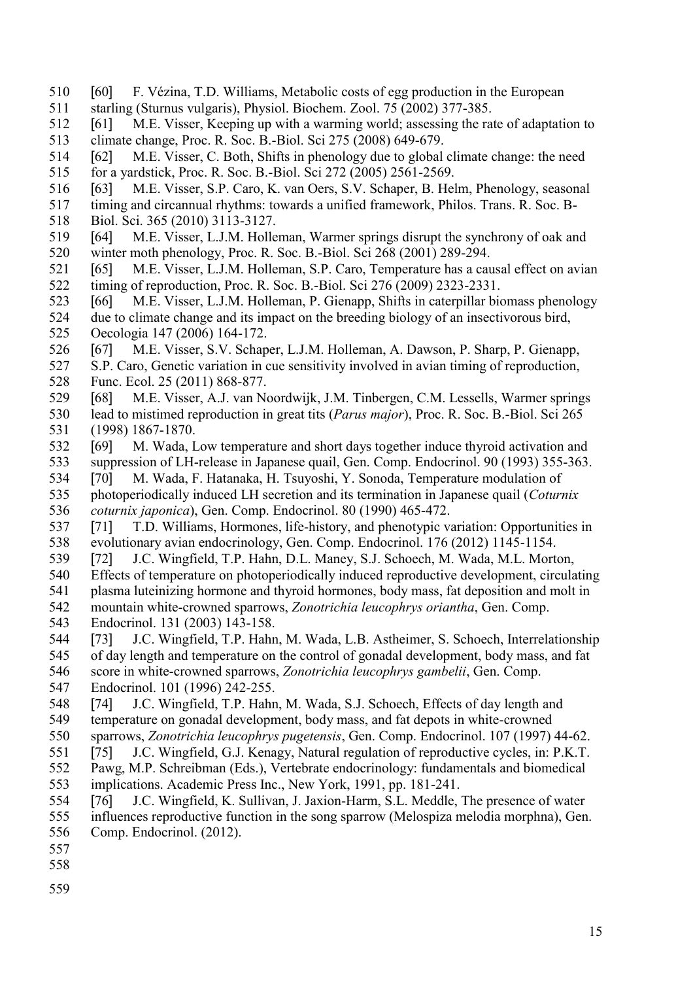- <span id="page-15-8"></span> [60] F. Vézina, T.D. Williams, Metabolic costs of egg production in the European 511 starling (Sturnus vulgaris), Physiol. Biochem. Zool. 75 (2002) 377-385.<br>512 [61] M.E. Visser. Keening up with a warming world: assessing the rate
- <span id="page-15-14"></span> [61] M.E. Visser, Keeping up with a warming world; assessing the rate of adaptation to 513 climate change, Proc. R. Soc. B.-Biol. Sci 275 (2008) 649-679.<br>514 [62] M.E. Visser, C. Both, Shifts in phenology due to global
- <span id="page-15-3"></span>514 [62] M.E. Visser, C. Both, Shifts in phenology due to global climate change: the need<br>515 for a yardstick, Proc. R. Soc. B.-Biol. Sci 272 (2005) 2561-2569. for a yardstick, Proc. R. Soc. B.-Biol. Sci 272 (2005) 2561-2569.
- <span id="page-15-10"></span>[63] M.E. Visser, S.P. Caro, K. van Oers, S.V. Schaper, B. Helm, Phenology, seasonal
- timing and circannual rhythms: towards a unified framework, Philos. Trans. R. Soc. B-
- Biol. Sci. 365 (2010) 3113-3127.
- <span id="page-15-4"></span> [64] M.E. Visser, L.J.M. Holleman, Warmer springs disrupt the synchrony of oak and winter moth phenology, Proc. R. Soc. B.-Biol. Sci 268 (2001) 289-294.
- <span id="page-15-9"></span> [65] M.E. Visser, L.J.M. Holleman, S.P. Caro, Temperature has a causal effect on avian 522 timing of reproduction, Proc. R. Soc. B.-Biol. Sci 276 (2009) 2323-2331.<br>523 [66] M.E. Visser, L.J.M. Holleman. P. Gienann. Shifts in caternillar bio
- <span id="page-15-0"></span>[66] M.E. Visser, L.J.M. Holleman, P. Gienapp, Shifts in caterpillar biomass phenology
- due to climate change and its impact on the breeding biology of an insectivorous bird, Oecologia 147 (2006) 164-172.
- <span id="page-15-11"></span>[67] M.E. Visser, S.V. Schaper, L.J.M. Holleman, A. Dawson, P. Sharp, P. Gienapp,
- S.P. Caro, Genetic variation in cue sensitivity involved in avian timing of reproduction, Func. Ecol. 25 (2011) 868-877.
- <span id="page-15-1"></span> [68] M.E. Visser, A.J. van Noordwijk, J.M. Tinbergen, C.M. Lessells, Warmer springs lead to mistimed reproduction in great tits (*Parus major*), Proc. R. Soc. B.-Biol. Sci 265 (1998) 1867-1870.
- <span id="page-15-5"></span> [69] M. Wada, Low temperature and short days together induce thyroid activation and suppression of LH-release in Japanese quail, Gen. Comp. Endocrinol. 90 (1993) 355-363.
- <span id="page-15-6"></span> [70] M. Wada, F. Hatanaka, H. Tsuyoshi, Y. Sonoda, Temperature modulation of photoperiodically induced LH secretion and its termination in Japanese quail (*Coturnix coturnix japonica*), Gen. Comp. Endocrinol. 80 (1990) 465-472.
- <span id="page-15-12"></span> [71] T.D. Williams, Hormones, life-history, and phenotypic variation: Opportunities in evolutionary avian endocrinology, Gen. Comp. Endocrinol. 176 (2012) 1145-1154.
- <span id="page-15-7"></span>[72] J.C. Wingfield, T.P. Hahn, D.L. Maney, S.J. Schoech, M. Wada, M.L. Morton,
- Effects of temperature on photoperiodically induced reproductive development, circulating
- plasma luteinizing hormone and thyroid hormones, body mass, fat deposition and molt in
- mountain white-crowned sparrows, *Zonotrichia leucophrys oriantha*, Gen. Comp. Endocrinol. 131 (2003) 143-158.
- [73] J.C. Wingfield, T.P. Hahn, M. Wada, L.B. Astheimer, S. Schoech, Interrelationship
- of day length and temperature on the control of gonadal development, body mass, and fat score in white-crowned sparrows, *Zonotrichia leucophrys gambelii*, Gen. Comp.
- 
- Endocrinol. 101 (1996) 242-255.
- [74] J.C. Wingfield, T.P. Hahn, M. Wada, S.J. Schoech, Effects of day length and temperature on gonadal development, body mass, and fat depots in white-crowned
- sparrows, *Zonotrichia leucophrys pugetensis*, Gen. Comp. Endocrinol. 107 (1997) 44-62.
- <span id="page-15-2"></span>[75] J.C. Wingfield, G.J. Kenagy, Natural regulation of reproductive cycles, in: P.K.T.
- 552 Pawg, M.P. Schreibman (Eds.), Vertebrate endocrinology: fundamentals and biomedical implications. Academic Press Inc., New York, 1991, pp. 181-241. implications. Academic Press Inc., New York, 1991, pp. 181-241.
- <span id="page-15-13"></span> [76] J.C. Wingfield, K. Sullivan, J. Jaxion-Harm, S.L. Meddle, The presence of water influences reproductive function in the song sparrow (Melospiza melodia morphna), Gen. Comp. Endocrinol. (2012).
- 
- 
-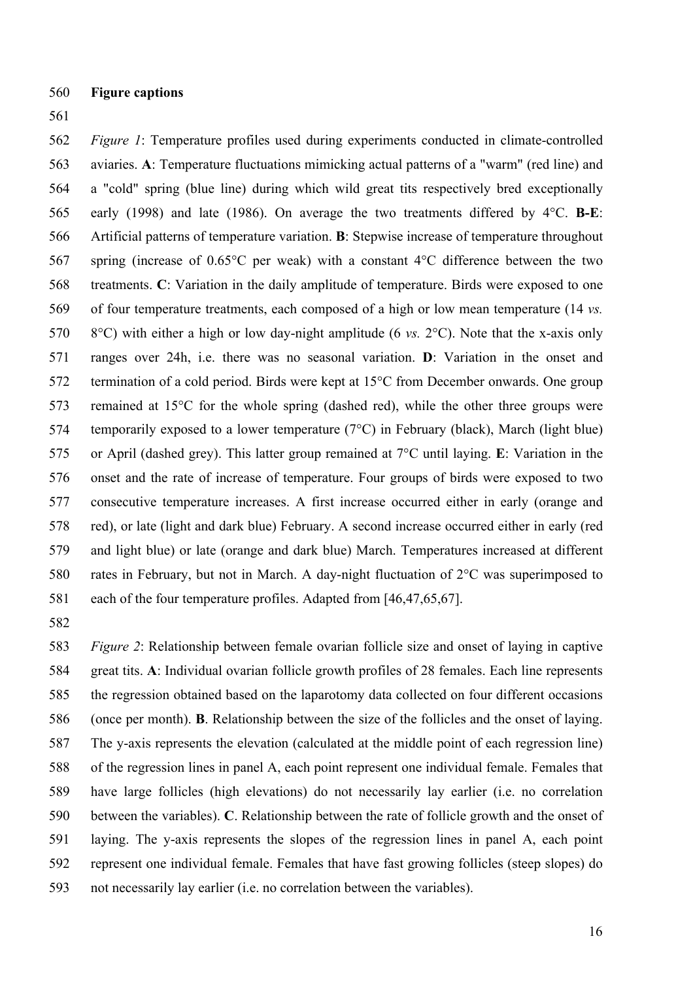- 560 **Figure captions**
- 561

562 563 564 565 566 567 568 569 570 571 572 573 574 575 576 577 578 579 580 *Figure 1*: Temperature profiles used during experiments conducted in climate-controlled aviaries. **A**: Temperature fluctuations mimicking actual patterns of a "warm" (red line) and a "cold" spring (blue line) during which wild great tits respectively bred exceptionally early (1998) and late (1986). On average the two treatments differed by 4°C. **B-E**: Artificial patterns of temperature variation. **B**: Stepwise increase of temperature throughout spring (increase of 0.65°C per weak) with a constant 4°C difference between the two treatments. **C**: Variation in the daily amplitude of temperature. Birds were exposed to one of four temperature treatments, each composed of a high or low mean temperature (14 *vs.* 8°C) with either a high or low day-night amplitude (6 *vs.* 2°C). Note that the x-axis only ranges over 24h, i.e. there was no seasonal variation. **D**: Variation in the onset and termination of a cold period. Birds were kept at 15°C from December onwards. One group remained at 15°C for the whole spring (dashed red), while the other three groups were temporarily exposed to a lower temperature (7°C) in February (black), March (light blue) or April (dashed grey). This latter group remained at 7°C until laying. **E**: Variation in the onset and the rate of increase of temperature. Four groups of birds were exposed to two consecutive temperature increases. A first increase occurred either in early (orange and red), or late (light and dark blue) February. A second increase occurred either in early (red and light blue) or late (orange and dark blue) March. Temperatures increased at different rates in February, but not in March. A day-night fluctuation of 2°C was superimposed to 581 each of the four temperature profiles. Adapted from [\[46](#page-14-8)[,47](#page-14-12)[,65](#page-15-9)[,67\]](#page-15-11).

582

583 584 585 586 587 588 589 590 591 592 *Figure 2*: Relationship between female ovarian follicle size and onset of laying in captive great tits. **A**: Individual ovarian follicle growth profiles of 28 females. Each line represents the regression obtained based on the laparotomy data collected on four different occasions (once per month). **B**. Relationship between the size of the follicles and the onset of laying. The y-axis represents the elevation (calculated at the middle point of each regression line) of the regression lines in panel A, each point represent one individual female. Females that have large follicles (high elevations) do not necessarily lay earlier (i.e. no correlation between the variables). **C**. Relationship between the rate of follicle growth and the onset of laying. The y-axis represents the slopes of the regression lines in panel A, each point represent one individual female. Females that have fast growing follicles (steep slopes) do 593 not necessarily lay earlier (i.e. no correlation between the variables).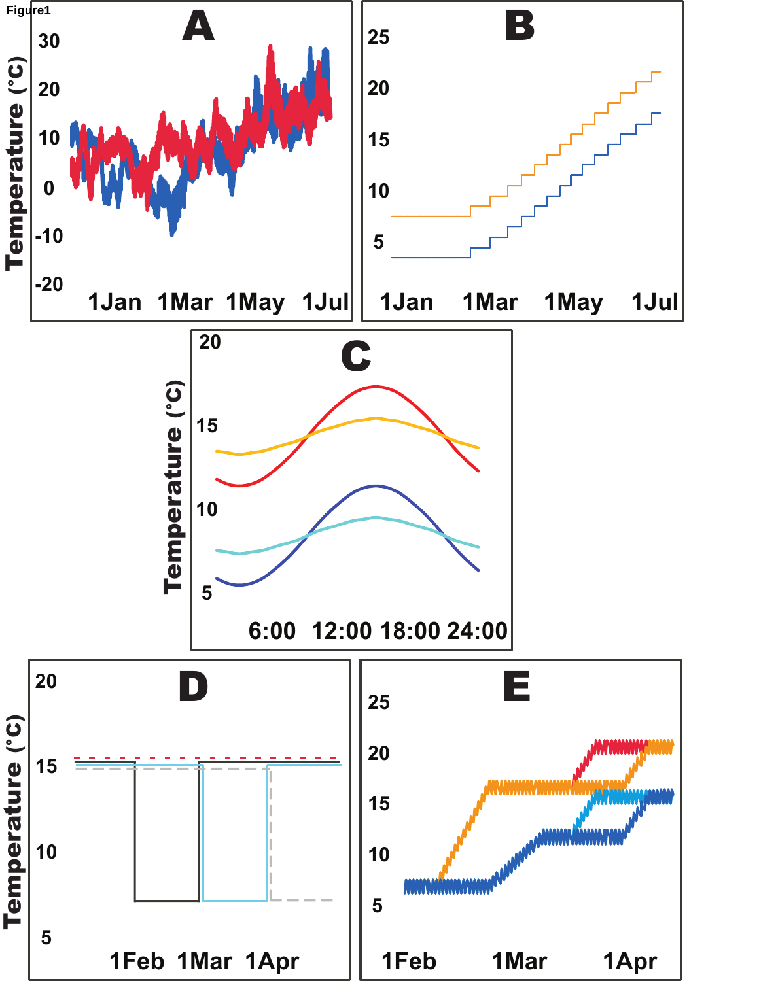